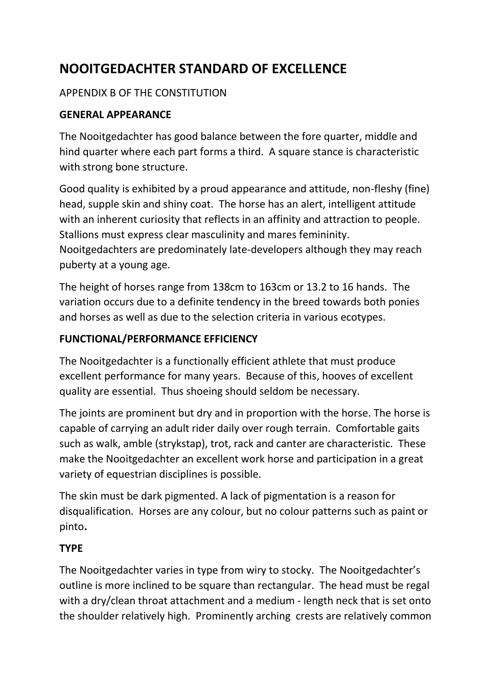# **NOOITGEDACHTER STANDARD OF EXCELLENCE**

# APPENDIX B OF THE CONSTITUTION

### **GENERAL APPEARANCE**

The Nooitgedachter has good balance between the fore quarter, middle and hind quarter where each part forms a third. A square stance is characteristic with strong bone structure.

Good quality is exhibited by a proud appearance and attitude, non-fleshy (fine) head, supple skin and shiny coat. The horse has an alert, intelligent attitude with an inherent curiosity that reflects in an affinity and attraction to people. Stallions must express clear masculinity and mares femininity. Nooitgedachters are predominately late-developers although they may reach puberty at a young age.

The height of horses range from 138cm to 163cm or 13.2 to 16 hands. The variation occurs due to a definite tendency in the breed towards both ponies and horses as well as due to the selection criteria in various ecotypes.

### **FUNCTIONAL/PERFORMANCE EFFICIENCY**

The Nooitgedachter is a functionally efficient athlete that must produce excellent performance for many years. Because of this, hooves of excellent quality are essential. Thus shoeing should seldom be necessary.

The joints are prominent but dry and in proportion with the horse. The horse is capable of carrying an adult rider daily over rough terrain. Comfortable gaits such as walk, amble (strykstap), trot, rack and canter are characteristic. These make the Nooitgedachter an excellent work horse and participation in a great variety of equestrian disciplines is possible.

The skin must be dark pigmented. A lack of pigmentation is a reason for disqualification. Horses are any colour, but no colour patterns such as paint or pinto**.**

#### **TYPE**

The Nooitgedachter varies in type from wiry to stocky. The Nooitgedachter's outline is more inclined to be square than rectangular. The head must be regal with a dry/clean throat attachment and a medium - length neck that is set onto the shoulder relatively high. Prominently arching crests are relatively common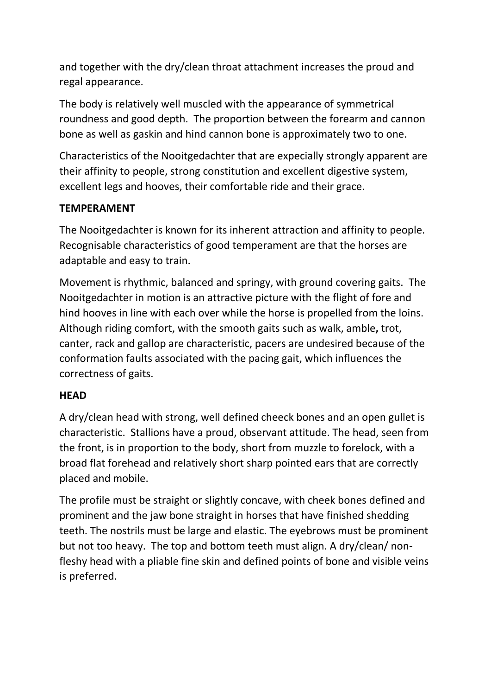and together with the dry/clean throat attachment increases the proud and regal appearance.

The body is relatively well muscled with the appearance of symmetrical roundness and good depth. The proportion between the forearm and cannon bone as well as gaskin and hind cannon bone is approximately two to one.

Characteristics of the Nooitgedachter that are expecially strongly apparent are their affinity to people, strong constitution and excellent digestive system, excellent legs and hooves, their comfortable ride and their grace.

#### **TEMPERAMENT**

The Nooitgedachter is known for its inherent attraction and affinity to people. Recognisable characteristics of good temperament are that the horses are adaptable and easy to train.

Movement is rhythmic, balanced and springy, with ground covering gaits. The Nooitgedachter in motion is an attractive picture with the flight of fore and hind hooves in line with each over while the horse is propelled from the loins. Although riding comfort, with the smooth gaits such as walk, amble**,** trot, canter, rack and gallop are characteristic, pacers are undesired because of the conformation faults associated with the pacing gait, which influences the correctness of gaits.

#### **HEAD**

A dry/clean head with strong, well defined cheeck bones and an open gullet is characteristic. Stallions have a proud, observant attitude. The head, seen from the front, is in proportion to the body, short from muzzle to forelock, with a broad flat forehead and relatively short sharp pointed ears that are correctly placed and mobile.

The profile must be straight or slightly concave, with cheek bones defined and prominent and the jaw bone straight in horses that have finished shedding teeth. The nostrils must be large and elastic. The eyebrows must be prominent but not too heavy. The top and bottom teeth must align. A dry/clean/ nonfleshy head with a pliable fine skin and defined points of bone and visible veins is preferred.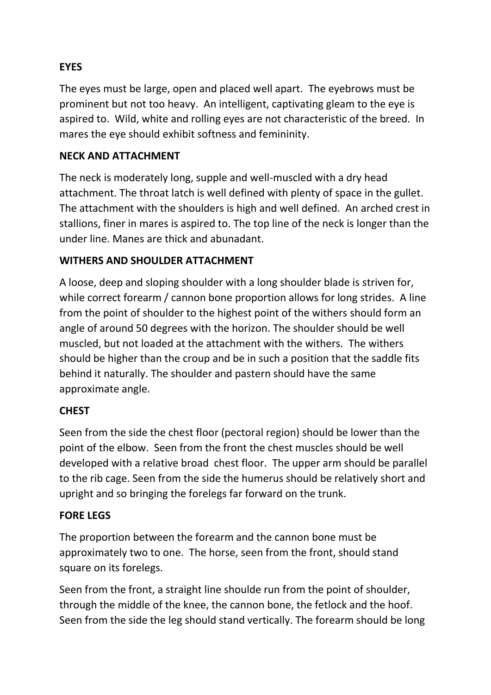# **EYES**

The eyes must be large, open and placed well apart. The eyebrows must be prominent but not too heavy. An intelligent, captivating gleam to the eye is aspired to. Wild, white and rolling eyes are not characteristic of the breed. In mares the eye should exhibit softness and femininity.

#### **NECK AND ATTACHMENT**

The neck is moderately long, supple and well-muscled with a dry head attachment. The throat latch is well defined with plenty of space in the gullet. The attachment with the shoulders is high and well defined. An arched crest in stallions, finer in mares is aspired to. The top line of the neck is longer than the under line. Manes are thick and abunadant.

#### **WITHERS AND SHOULDER ATTACHMENT**

A loose, deep and sloping shoulder with a long shoulder blade is striven for, while correct forearm / cannon bone proportion allows for long strides. A line from the point of shoulder to the highest point of the withers should form an angle of around 50 degrees with the horizon. The shoulder should be well muscled, but not loaded at the attachment with the withers. The withers should be higher than the croup and be in such a position that the saddle fits behind it naturally. The shoulder and pastern should have the same approximate angle.

#### **CHEST**

Seen from the side the chest floor (pectoral region) should be lower than the point of the elbow. Seen from the front the chest muscles should be well developed with a relative broad chest floor.The upper arm should be parallel to the rib cage. Seen from the side the humerus should be relatively short and upright and so bringing the forelegs far forward on the trunk.

#### **FORE LEGS**

The proportion between the forearm and the cannon bone must be approximately two to one. The horse, seen from the front, should stand square on its forelegs.

Seen from the front, a straight line shoulde run from the point of shoulder, through the middle of the knee, the cannon bone, the fetlock and the hoof. Seen from the side the leg should stand vertically. The forearm should be long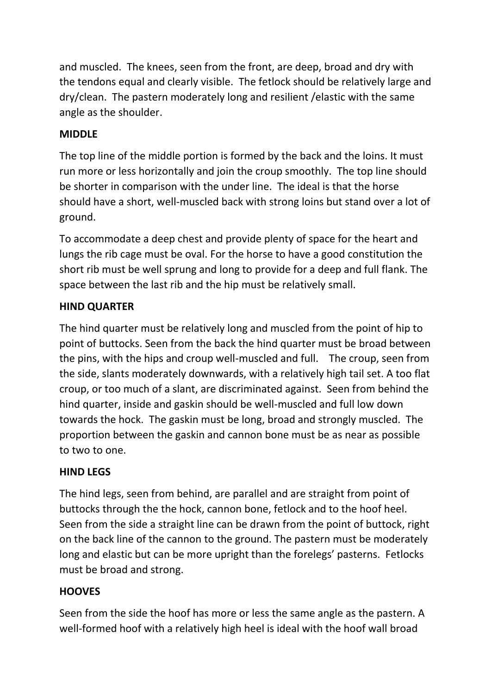and muscled. The knees, seen from the front, are deep, broad and dry with the tendons equal and clearly visible. The fetlock should be relatively large and dry/clean. The pastern moderately long and resilient /elastic with the same angle as the shoulder.

## **MIDDLE**

The top line of the middle portion is formed by the back and the loins. It must run more or less horizontally and join the croup smoothly. The top line should be shorter in comparison with the under line. The ideal is that the horse should have a short, well-muscled back with strong loins but stand over a lot of ground.

To accommodate a deep chest and provide plenty of space for the heart and lungs the rib cage must be oval. For the horse to have a good constitution the short rib must be well sprung and long to provide for a deep and full flank. The space between the last rib and the hip must be relatively small.

# **HIND QUARTER**

The hind quarter must be relatively long and muscled from the point of hip to point of buttocks. Seen from the back the hind quarter must be broad between the pins, with the hips and croup well-muscled and full. The croup, seen from the side, slants moderately downwards, with a relatively high tail set. A too flat croup, or too much of a slant, are discriminated against. Seen from behind the hind quarter, inside and gaskin should be well-muscled and full low down towards the hock. The gaskin must be long, broad and strongly muscled. The proportion between the gaskin and cannon bone must be as near as possible to two to one.

# **HIND LEGS**

The hind legs, seen from behind, are parallel and are straight from point of buttocks through the the hock, cannon bone, fetlock and to the hoof heel. Seen from the side a straight line can be drawn from the point of buttock, right on the back line of the cannon to the ground. The pastern must be moderately long and elastic but can be more upright than the forelegs' pasterns. Fetlocks must be broad and strong.

# **HOOVES**

Seen from the side the hoof has more or less the same angle as the pastern. A well-formed hoof with a relatively high heel is ideal with the hoof wall broad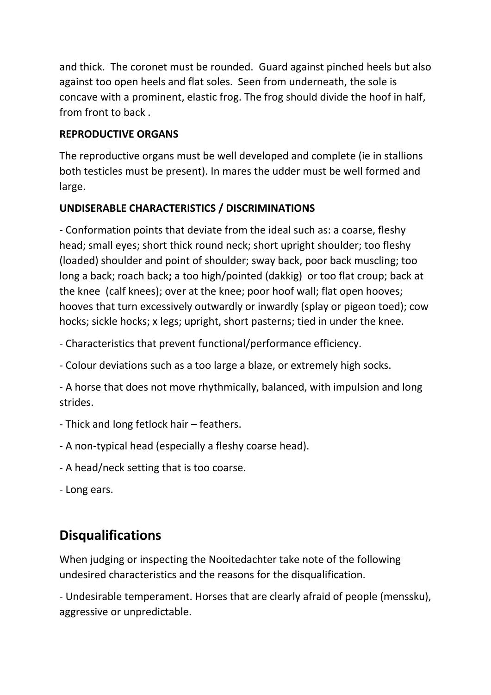and thick. The coronet must be rounded. Guard against pinched heels but also against too open heels and flat soles. Seen from underneath, the sole is concave with a prominent, elastic frog. The frog should divide the hoof in half, from front to back .

#### **REPRODUCTIVE ORGANS**

The reproductive organs must be well developed and complete (ie in stallions both testicles must be present). In mares the udder must be well formed and large.

# **UNDISERABLE CHARACTERISTICS / DISCRIMINATIONS**

- Conformation points that deviate from the ideal such as: a coarse, fleshy head; small eyes; short thick round neck; short upright shoulder; too fleshy (loaded) shoulder and point of shoulder; sway back, poor back muscling; too long a back; roach back**;** a too high/pointed (dakkig) or too flat croup; back at the knee (calf knees); over at the knee; poor hoof wall; flat open hooves; hooves that turn excessively outwardly or inwardly (splay or pigeon toed); cow hocks; sickle hocks; x legs; upright, short pasterns; tied in under the knee.

- Characteristics that prevent functional/performance efficiency.

- Colour deviations such as a too large a blaze, or extremely high socks.

- A horse that does not move rhythmically, balanced, with impulsion and long strides.

- Thick and long fetlock hair feathers.
- A non-typical head (especially a fleshy coarse head).
- A head/neck setting that is too coarse.
- Long ears.

# **Disqualifications**

When judging or inspecting the Nooitedachter take note of the following undesired characteristics and the reasons for the disqualification.

- Undesirable temperament. Horses that are clearly afraid of people (menssku), aggressive or unpredictable.